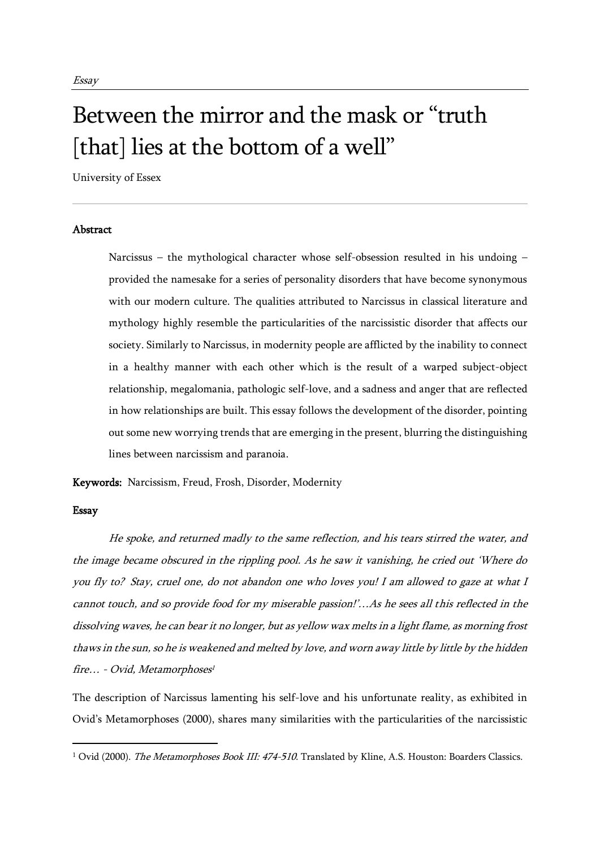## Between the mirror and the mask or "truth [that] lies at the bottom of a well"

University of Essex

## **Abstract**

Narcissus – the mythological character whose self-obsession resulted in his undoing – provided the namesake for a series of personality disorders that have become synonymous with our modern culture. The qualities attributed to Narcissus in classical literature and mythology highly resemble the particularities of the narcissistic disorder that affects our society. Similarly to Narcissus, in modernity people are afflicted by the inability to connect in a healthy manner with each other which is the result of a warped subject-object relationship, megalomania, pathologic self-love, and a sadness and anger that are reflected in how relationships are built. This essay follows the development of the disorder, pointing out some new worrying trends that are emerging in the present, blurring the distinguishing lines between narcissism and paranoia.

Keywords: Narcissism, Freud, Frosh, Disorder, Modernity

## Essay

He spoke, and returned madly to the same reflection, and his tears stirred the water, and the image became obscured in the rippling pool. As he saw it vanishing, he cried out 'Where do you fly to? Stay, cruel one, do not abandon one who loves you! I am allowed to gaze at what I cannot touch, and so provide food for my miserable passion!'…As he sees all this reflected in the dissolving waves, he can bear it no longer, but as yellow wax melts in a light flame, as morning frost thaws in the sun, so he is weakened and melted by love, and worn away little by little by the hidden fire… - Ovid, Metamorphoses 1

The description of Narcissus lamenting his self-love and his unfortunate reality, as exhibited in Ovid's Metamorphoses (2000), shares many similarities with the particularities of the narcissistic

<sup>&</sup>lt;sup>1</sup> Ovid (2000). *The Metamorphoses Book III: 474-510*. Translated by Kline, A.S. Houston: Boarders Classics.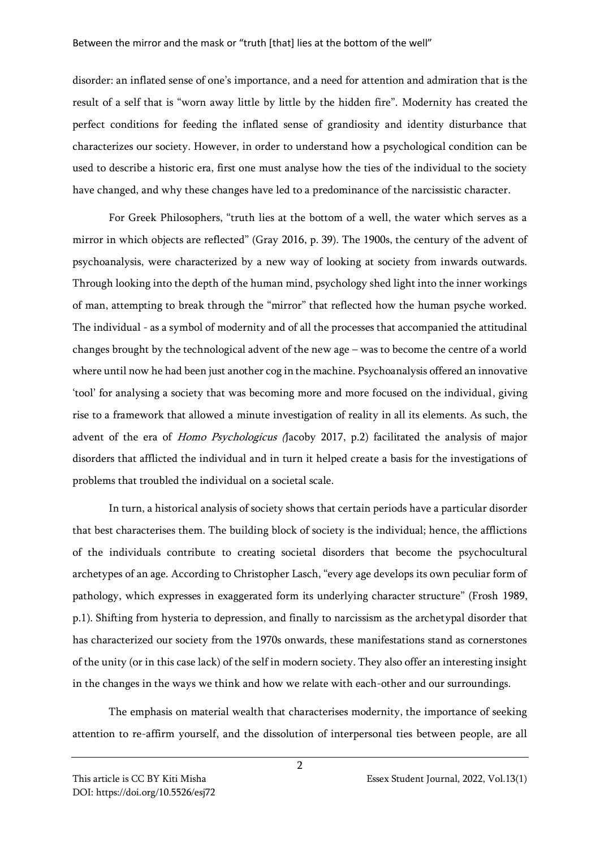disorder: an inflated sense of one's importance, and a need for attention and admiration that is the result of a self that is "worn away little by little by the hidden fire". Modernity has created the perfect conditions for feeding the inflated sense of grandiosity and identity disturbance that characterizes our society. However, in order to understand how a psychological condition can be used to describe a historic era, first one must analyse how the ties of the individual to the society have changed, and why these changes have led to a predominance of the narcissistic character.

For Greek Philosophers, "truth lies at the bottom of a well, the water which serves as a mirror in which objects are reflected" (Gray 2016, p. 39). The 1900s, the century of the advent of psychoanalysis, were characterized by a new way of looking at society from inwards outwards. Through looking into the depth of the human mind, psychology shed light into the inner workings of man, attempting to break through the "mirror" that reflected how the human psyche worked. The individual - as a symbol of modernity and of all the processes that accompanied the attitudinal changes brought by the technological advent of the new age – was to become the centre of a world where until now he had been just another cog in the machine. Psychoanalysis offered an innovative 'tool' for analysing a society that was becoming more and more focused on the individual, giving rise to a framework that allowed a minute investigation of reality in all its elements. As such, the advent of the era of *Homo Psychologicus* (Jacoby 2017, p.2) facilitated the analysis of major disorders that afflicted the individual and in turn it helped create a basis for the investigations of problems that troubled the individual on a societal scale.

In turn, a historical analysis of society shows that certain periods have a particular disorder that best characterises them. The building block of society is the individual; hence, the afflictions of the individuals contribute to creating societal disorders that become the psychocultural archetypes of an age. According to Christopher Lasch, "every age develops its own peculiar form of pathology, which expresses in exaggerated form its underlying character structure" (Frosh 1989, p.1). Shifting from hysteria to depression, and finally to narcissism as the archetypal disorder that has characterized our society from the 1970s onwards, these manifestations stand as cornerstones of the unity (or in this case lack) of the self in modern society. They also offer an interesting insight in the changes in the ways we think and how we relate with each-other and our surroundings.

The emphasis on material wealth that characterises modernity, the importance of seeking attention to re-affirm yourself, and the dissolution of interpersonal ties between people, are all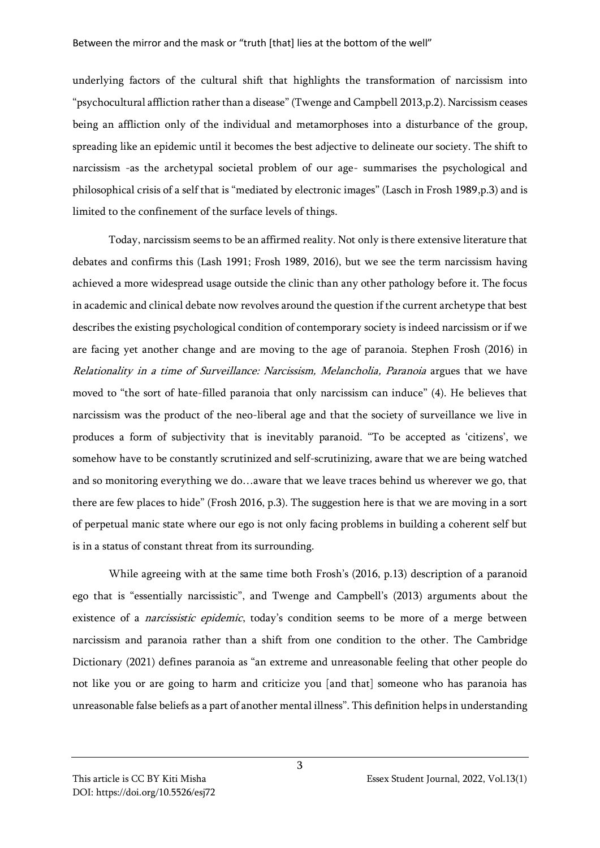underlying factors of the cultural shift that highlights the transformation of narcissism into "psychocultural affliction rather than a disease" (Twenge and Campbell 2013,p.2). Narcissism ceases being an affliction only of the individual and metamorphoses into a disturbance of the group, spreading like an epidemic until it becomes the best adjective to delineate our society. The shift to narcissism -as the archetypal societal problem of our age- summarises the psychological and philosophical crisis of a self that is "mediated by electronic images" (Lasch in Frosh 1989,p.3) and is limited to the confinement of the surface levels of things.

Today, narcissism seems to be an affirmed reality. Not only is there extensive literature that debates and confirms this (Lash 1991; Frosh 1989, 2016), but we see the term narcissism having achieved a more widespread usage outside the clinic than any other pathology before it. The focus in academic and clinical debate now revolves around the question if the current archetype that best describes the existing psychological condition of contemporary society is indeed narcissism or if we are facing yet another change and are moving to the age of paranoia. Stephen Frosh (2016) in Relationality in a time of Surveillance: Narcissism, Melancholia, Paranoia argues that we have moved to "the sort of hate-filled paranoia that only narcissism can induce" (4). He believes that narcissism was the product of the neo-liberal age and that the society of surveillance we live in produces a form of subjectivity that is inevitably paranoid. "To be accepted as 'citizens', we somehow have to be constantly scrutinized and self-scrutinizing, aware that we are being watched and so monitoring everything we do…aware that we leave traces behind us wherever we go, that there are few places to hide" (Frosh 2016, p.3). The suggestion here is that we are moving in a sort of perpetual manic state where our ego is not only facing problems in building a coherent self but is in a status of constant threat from its surrounding.

While agreeing with at the same time both Frosh's (2016, p.13) description of a paranoid ego that is "essentially narcissistic", and Twenge and Campbell's (2013) arguments about the existence of a *narcissistic epidemic*, today's condition seems to be more of a merge between narcissism and paranoia rather than a shift from one condition to the other. The Cambridge Dictionary (2021) defines paranoia as "an extreme and unreasonable feeling that other people do not like you or are going to harm and criticize you [and that] someone who has paranoia has unreasonable false beliefs as a part of another mental illness". This definition helps in understanding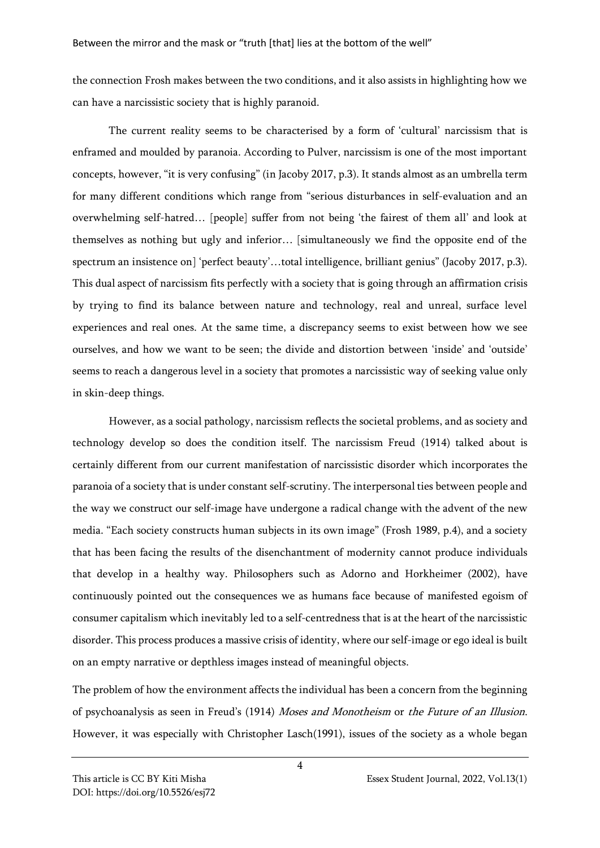the connection Frosh makes between the two conditions, and it also assists in highlighting how we can have a narcissistic society that is highly paranoid.

The current reality seems to be characterised by a form of 'cultural' narcissism that is enframed and moulded by paranoia. According to Pulver, narcissism is one of the most important concepts, however, "it is very confusing" (in Jacoby 2017, p.3). It stands almost as an umbrella term for many different conditions which range from "serious disturbances in self-evaluation and an overwhelming self-hatred… [people] suffer from not being 'the fairest of them all' and look at themselves as nothing but ugly and inferior… [simultaneously we find the opposite end of the spectrum an insistence on] 'perfect beauty'...total intelligence, brilliant genius" (Jacoby 2017, p.3). This dual aspect of narcissism fits perfectly with a society that is going through an affirmation crisis by trying to find its balance between nature and technology, real and unreal, surface level experiences and real ones. At the same time, a discrepancy seems to exist between how we see ourselves, and how we want to be seen; the divide and distortion between 'inside' and 'outside' seems to reach a dangerous level in a society that promotes a narcissistic way of seeking value only in skin-deep things.

However, as a social pathology, narcissism reflects the societal problems, and as society and technology develop so does the condition itself. The narcissism Freud (1914) talked about is certainly different from our current manifestation of narcissistic disorder which incorporates the paranoia of a society that is under constant self-scrutiny. The interpersonal ties between people and the way we construct our self-image have undergone a radical change with the advent of the new media. "Each society constructs human subjects in its own image" (Frosh 1989, p.4), and a society that has been facing the results of the disenchantment of modernity cannot produce individuals that develop in a healthy way. Philosophers such as Adorno and Horkheimer (2002), have continuously pointed out the consequences we as humans face because of manifested egoism of consumer capitalism which inevitably led to a self-centredness that is at the heart of the narcissistic disorder. This process produces a massive crisis of identity, where our self-image or ego ideal is built on an empty narrative or depthless images instead of meaningful objects.

The problem of how the environment affects the individual has been a concern from the beginning of psychoanalysis as seen in Freud's (1914) Moses and Monotheism or the Future of an Illusion. However, it was especially with Christopher Lasch(1991), issues of the society as a whole began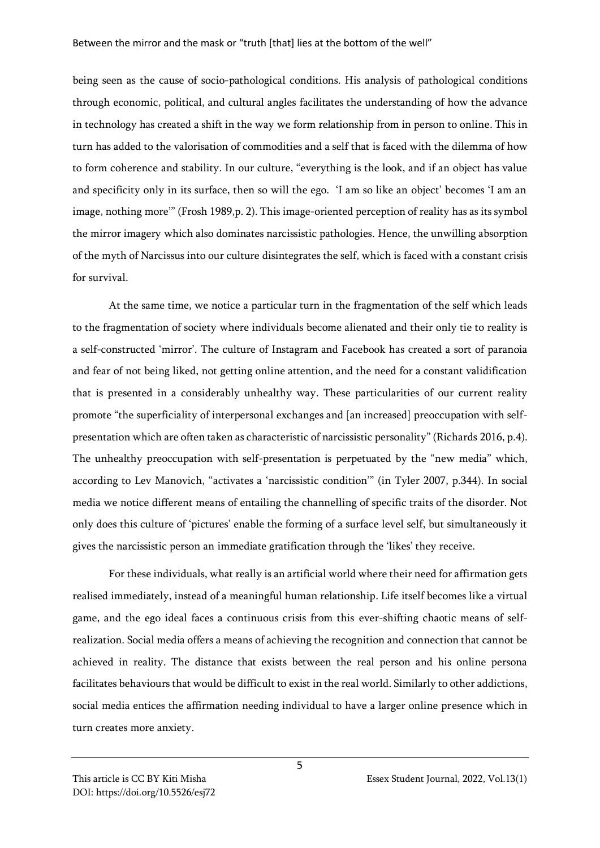being seen as the cause of socio-pathological conditions. His analysis of pathological conditions through economic, political, and cultural angles facilitates the understanding of how the advance in technology has created a shift in the way we form relationship from in person to online. This in turn has added to the valorisation of commodities and a self that is faced with the dilemma of how to form coherence and stability. In our culture, "everything is the look, and if an object has value and specificity only in its surface, then so will the ego. 'I am so like an object' becomes 'I am an image, nothing more'" (Frosh 1989,p. 2). This image-oriented perception of reality has as its symbol the mirror imagery which also dominates narcissistic pathologies. Hence, the unwilling absorption of the myth of Narcissus into our culture disintegrates the self, which is faced with a constant crisis for survival.

At the same time, we notice a particular turn in the fragmentation of the self which leads to the fragmentation of society where individuals become alienated and their only tie to reality is a self-constructed 'mirror'. The culture of Instagram and Facebook has created a sort of paranoia and fear of not being liked, not getting online attention, and the need for a constant validification that is presented in a considerably unhealthy way. These particularities of our current reality promote "the superficiality of interpersonal exchanges and [an increased] preoccupation with selfpresentation which are often taken as characteristic of narcissistic personality" (Richards 2016, p.4). The unhealthy preoccupation with self-presentation is perpetuated by the "new media" which, according to Lev Manovich, "activates a 'narcissistic condition'" (in Tyler 2007, p.344). In social media we notice different means of entailing the channelling of specific traits of the disorder. Not only does this culture of 'pictures' enable the forming of a surface level self, but simultaneously it gives the narcissistic person an immediate gratification through the 'likes' they receive.

For these individuals, what really is an artificial world where their need for affirmation gets realised immediately, instead of a meaningful human relationship. Life itself becomes like a virtual game, and the ego ideal faces a continuous crisis from this ever-shifting chaotic means of selfrealization. Social media offers a means of achieving the recognition and connection that cannot be achieved in reality. The distance that exists between the real person and his online persona facilitates behaviours that would be difficult to exist in the real world. Similarly to other addictions, social media entices the affirmation needing individual to have a larger online presence which in turn creates more anxiety.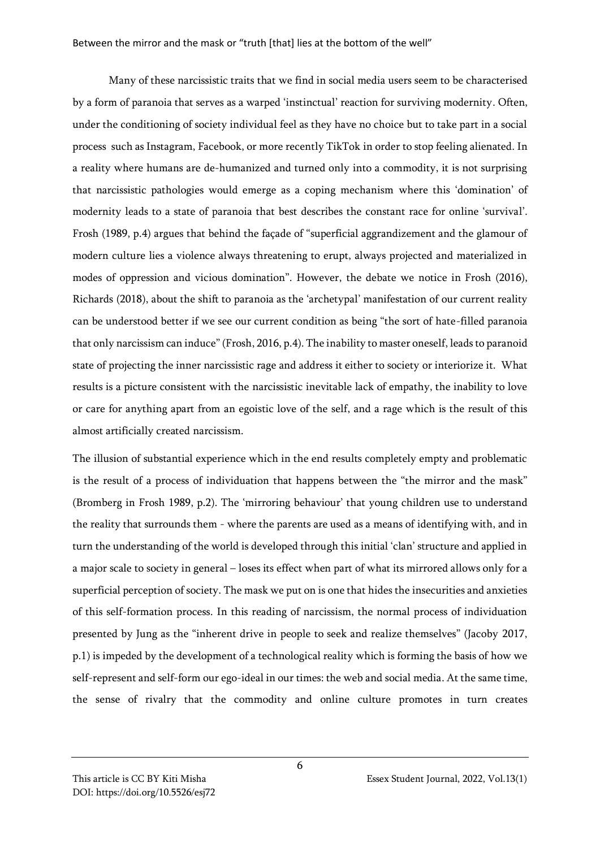Between the mirror and the mask or "truth [that] lies at the bottom of the well"

Many of these narcissistic traits that we find in social media users seem to be characterised by a form of paranoia that serves as a warped 'instinctual' reaction for surviving modernity. Often, under the conditioning of society individual feel as they have no choice but to take part in a social process such as Instagram, Facebook, or more recently TikTok in order to stop feeling alienated. In a reality where humans are de-humanized and turned only into a commodity, it is not surprising that narcissistic pathologies would emerge as a coping mechanism where this 'domination' of modernity leads to a state of paranoia that best describes the constant race for online 'survival'. Frosh (1989, p.4) argues that behind the façade of "superficial aggrandizement and the glamour of modern culture lies a violence always threatening to erupt, always projected and materialized in modes of oppression and vicious domination". However, the debate we notice in Frosh (2016), Richards (2018), about the shift to paranoia as the 'archetypal' manifestation of our current reality can be understood better if we see our current condition as being "the sort of hate-filled paranoia that only narcissism can induce" (Frosh, 2016, p.4). The inability to master oneself, leads to paranoid state of projecting the inner narcissistic rage and address it either to society or interiorize it. What results is a picture consistent with the narcissistic inevitable lack of empathy, the inability to love or care for anything apart from an egoistic love of the self, and a rage which is the result of this almost artificially created narcissism.

The illusion of substantial experience which in the end results completely empty and problematic is the result of a process of individuation that happens between the "the mirror and the mask" (Bromberg in Frosh 1989, p.2). The 'mirroring behaviour' that young children use to understand the reality that surrounds them - where the parents are used as a means of identifying with, and in turn the understanding of the world is developed through this initial 'clan' structure and applied in a major scale to society in general – loses its effect when part of what its mirrored allows only for a superficial perception of society. The mask we put on is one that hides the insecurities and anxieties of this self-formation process. In this reading of narcissism, the normal process of individuation presented by Jung as the "inherent drive in people to seek and realize themselves" (Jacoby 2017, p.1) is impeded by the development of a technological reality which is forming the basis of how we self-represent and self-form our ego-ideal in our times: the web and social media. At the same time, the sense of rivalry that the commodity and online culture promotes in turn creates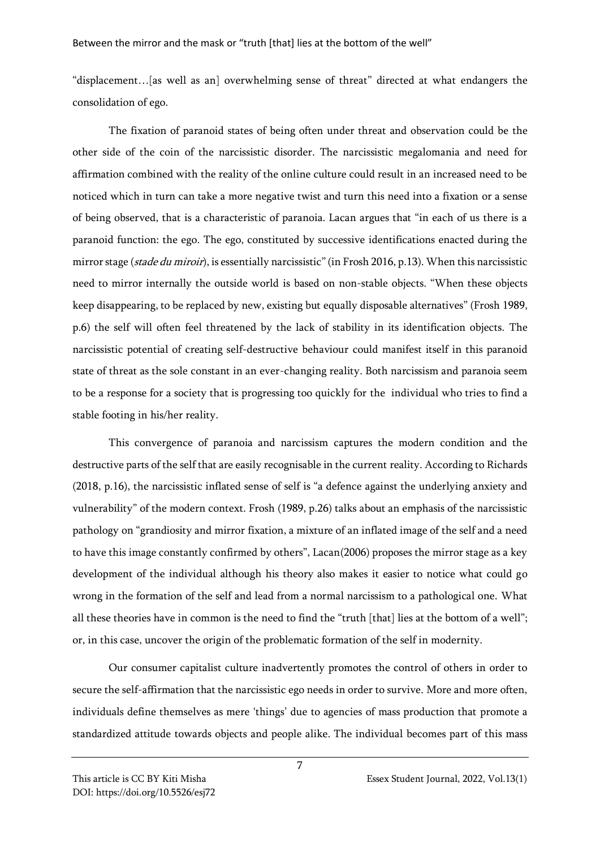"displacement…[as well as an] overwhelming sense of threat" directed at what endangers the consolidation of ego.

The fixation of paranoid states of being often under threat and observation could be the other side of the coin of the narcissistic disorder. The narcissistic megalomania and need for affirmation combined with the reality of the online culture could result in an increased need to be noticed which in turn can take a more negative twist and turn this need into a fixation or a sense of being observed, that is a characteristic of paranoia. Lacan argues that "in each of us there is a paranoid function: the ego. The ego, constituted by successive identifications enacted during the mirror stage (stade du miroir), is essentially narcissistic" (in Frosh 2016, p.13). When this narcissistic need to mirror internally the outside world is based on non-stable objects. "When these objects keep disappearing, to be replaced by new, existing but equally disposable alternatives" (Frosh 1989, p.6) the self will often feel threatened by the lack of stability in its identification objects. The narcissistic potential of creating self-destructive behaviour could manifest itself in this paranoid state of threat as the sole constant in an ever-changing reality. Both narcissism and paranoia seem to be a response for a society that is progressing too quickly for the individual who tries to find a stable footing in his/her reality.

This convergence of paranoia and narcissism captures the modern condition and the destructive parts of the self that are easily recognisable in the current reality. According to Richards (2018, p.16), the narcissistic inflated sense of self is "a defence against the underlying anxiety and vulnerability" of the modern context. Frosh (1989, p.26) talks about an emphasis of the narcissistic pathology on "grandiosity and mirror fixation, a mixture of an inflated image of the self and a need to have this image constantly confirmed by others", Lacan(2006) proposes the mirror stage as a key development of the individual although his theory also makes it easier to notice what could go wrong in the formation of the self and lead from a normal narcissism to a pathological one. What all these theories have in common is the need to find the "truth [that] lies at the bottom of a well"; or, in this case, uncover the origin of the problematic formation of the self in modernity.

Our consumer capitalist culture inadvertently promotes the control of others in order to secure the self-affirmation that the narcissistic ego needs in order to survive. More and more often, individuals define themselves as mere 'things' due to agencies of mass production that promote a standardized attitude towards objects and people alike. The individual becomes part of this mass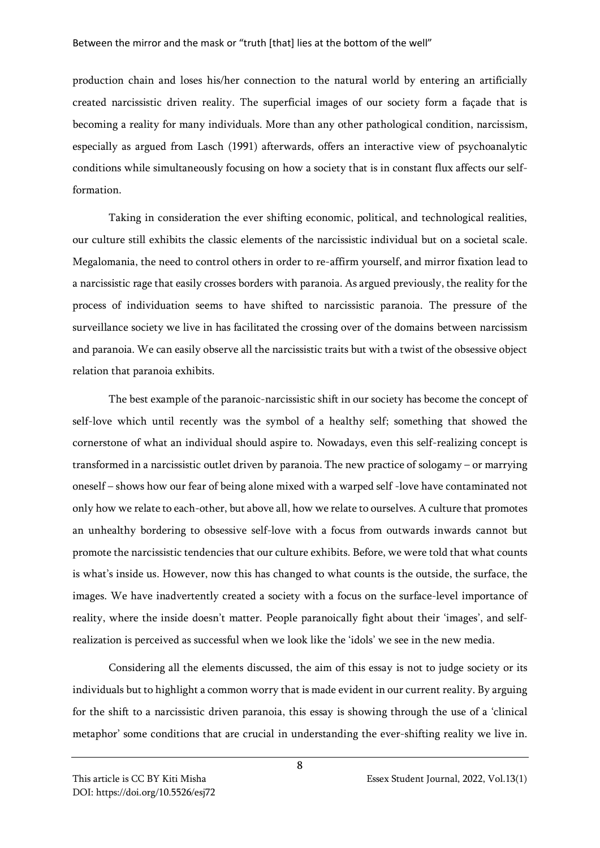production chain and loses his/her connection to the natural world by entering an artificially created narcissistic driven reality. The superficial images of our society form a façade that is becoming a reality for many individuals. More than any other pathological condition, narcissism, especially as argued from Lasch (1991) afterwards, offers an interactive view of psychoanalytic conditions while simultaneously focusing on how a society that is in constant flux affects our selfformation.

Taking in consideration the ever shifting economic, political, and technological realities, our culture still exhibits the classic elements of the narcissistic individual but on a societal scale. Megalomania, the need to control others in order to re-affirm yourself, and mirror fixation lead to a narcissistic rage that easily crosses borders with paranoia. As argued previously, the reality for the process of individuation seems to have shifted to narcissistic paranoia. The pressure of the surveillance society we live in has facilitated the crossing over of the domains between narcissism and paranoia. We can easily observe all the narcissistic traits but with a twist of the obsessive object relation that paranoia exhibits.

The best example of the paranoic-narcissistic shift in our society has become the concept of self-love which until recently was the symbol of a healthy self; something that showed the cornerstone of what an individual should aspire to. Nowadays, even this self-realizing concept is transformed in a narcissistic outlet driven by paranoia. The new practice of sologamy – or marrying oneself – shows how our fear of being alone mixed with a warped self -love have contaminated not only how we relate to each-other, but above all, how we relate to ourselves. A culture that promotes an unhealthy bordering to obsessive self-love with a focus from outwards inwards cannot but promote the narcissistic tendencies that our culture exhibits. Before, we were told that what counts is what's inside us. However, now this has changed to what counts is the outside, the surface, the images. We have inadvertently created a society with a focus on the surface-level importance of reality, where the inside doesn't matter. People paranoically fight about their 'images', and selfrealization is perceived as successful when we look like the 'idols' we see in the new media.

Considering all the elements discussed, the aim of this essay is not to judge society or its individuals but to highlight a common worry that is made evident in our current reality. By arguing for the shift to a narcissistic driven paranoia, this essay is showing through the use of a 'clinical metaphor' some conditions that are crucial in understanding the ever-shifting reality we live in.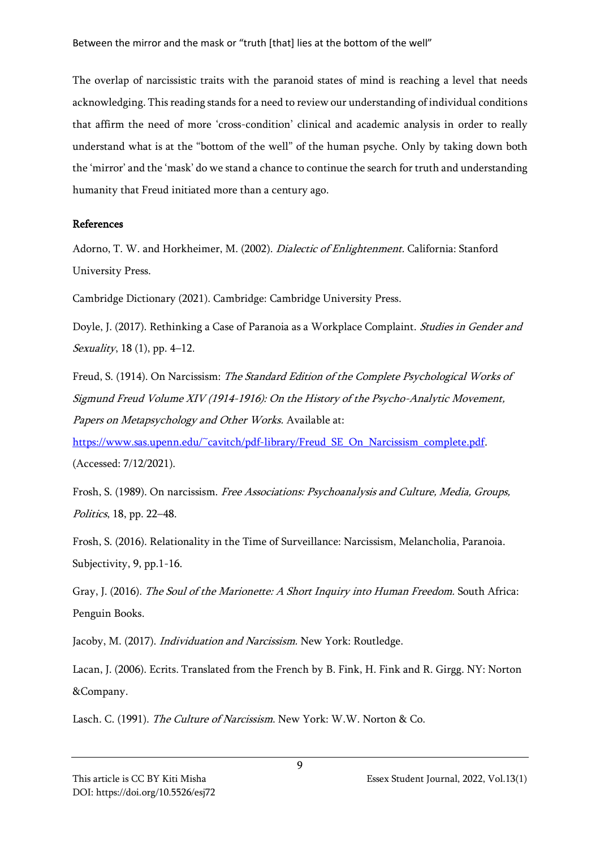The overlap of narcissistic traits with the paranoid states of mind is reaching a level that needs acknowledging. This reading stands for a need to review our understanding of individual conditions that affirm the need of more 'cross-condition' clinical and academic analysis in order to really understand what is at the "bottom of the well" of the human psyche. Only by taking down both the 'mirror' and the 'mask' do we stand a chance to continue the search for truth and understanding humanity that Freud initiated more than a century ago.

## References

Adorno, T. W. and Horkheimer, M. (2002). Dialectic of Enlightenment. California: Stanford University Press.

Cambridge Dictionary (2021). Cambridge: Cambridge University Press.

Doyle, J. (2017). Rethinking a Case of Paranoia as a Workplace Complaint. *Studies in Gender and Sexuality*, 18 (1), pp. 4–12.

Freud, S. (1914). On Narcissism: The Standard Edition of the Complete Psychological Works of Sigmund Freud Volume XIV (1914-1916): On the History of the Psycho-Analytic Movement, Papers on Metapsychology and Other Works. Available at:

[https://www.sas.upenn.edu/~cavitch/pdf-library/Freud\\_SE\\_On\\_Narcissism\\_complete.pdf.](https://www.sas.upenn.edu/~cavitch/pdf-library/Freud_SE_On_Narcissism_complete.pdf) (Accessed: 7/12/2021).

Frosh, S. (1989). On narcissism. Free Associations: Psychoanalysis and Culture, Media, Groups, Politics, 18, pp. 22–48.

Frosh, S. (2016). Relationality in the Time of Surveillance: Narcissism, Melancholia, Paranoia. Subjectivity, 9, pp.1-16.

Gray, J. (2016). The Soul of the Marionette: A Short Inquiry into Human Freedom. South Africa: Penguin Books.

Jacoby, M. (2017). Individuation and Narcissism. New York: Routledge.

Lacan, J. (2006). Ecrits. Translated from the French by B. Fink, H. Fink and R. Girgg. NY: Norton &Company.

Lasch. C. (1991). The Culture of Narcissism. New York: W.W. Norton & Co.